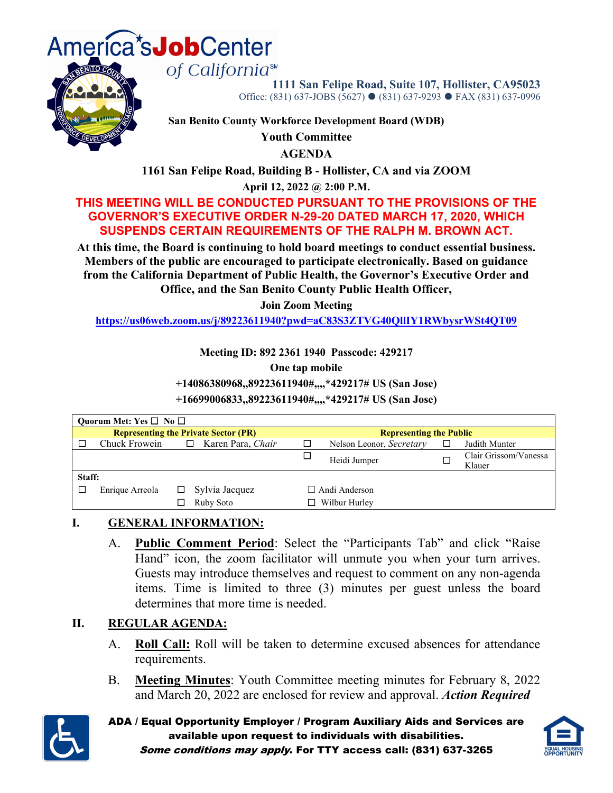



**1111 San Felipe Road, Suite 107, Hollister, CA95023** Office: (831) 637-JOBS (5627) ● (831) 637-9293 ● FAX (831) 637-0996

**San Benito County Workforce Development Board (WDB)**

**Youth Committee**

**AGENDA**

**1161 San Felipe Road, Building B - Hollister, CA and via ZOOM**

**April 12, 2022 @ 2:00 P.M.**

### **THIS MEETING WILL BE CONDUCTED PURSUANT TO THE PROVISIONS OF THE GOVERNOR'S EXECUTIVE ORDER N-29-20 DATED MARCH 17, 2020, WHICH SUSPENDS CERTAIN REQUIREMENTS OF THE RALPH M. BROWN ACT.**

**At this time, the Board is continuing to hold board meetings to conduct essential business. Members of the public are encouraged to participate electronically. Based on guidance from the California Department of Public Health, the Governor's Executive Order and Office, and the San Benito County Public Health Officer,**

**Join Zoom Meeting**

**<https://us06web.zoom.us/j/89223611940?pwd=aC83S3ZTVG40QllIY1RWbysrWSt4QT09>**

**Meeting ID: 892 2361 1940 Passcode: 429217**

**One tap mobile**

**+14086380968,,89223611940#,,,,\*429217# US (San Jose)**

**+16699006833,,89223611940#,,,,\*429217# US (San Jose)**

| Ouorum Met: Yes $\square$ No $\square$ |                                             |  |                             |                      |                                |   |                                 |  |
|----------------------------------------|---------------------------------------------|--|-----------------------------|----------------------|--------------------------------|---|---------------------------------|--|
|                                        | <b>Representing the Private Sector (PR)</b> |  |                             |                      | <b>Representing the Public</b> |   |                                 |  |
|                                        | Chuck Frowein                               |  | $\Box$<br>Karen Para, Chair | $\Box$               | Nelson Leonor, Secretary       | □ | Judith Munter                   |  |
|                                        |                                             |  |                             | □                    | Heidi Jumper                   |   | Clair Grissom/Vanessa<br>Klauer |  |
| Staff:                                 |                                             |  |                             |                      |                                |   |                                 |  |
|                                        | Enrique Arreola                             |  | Sylvia Jacquez              | $\Box$ Andi Anderson |                                |   |                                 |  |
|                                        |                                             |  | Ruby Soto                   | Wilbur Hurley        |                                |   |                                 |  |

# **I. GENERAL INFORMATION:**

A. **Public Comment Period**: Select the "Participants Tab" and click "Raise Hand" icon, the zoom facilitator will unmute you when your turn arrives. Guests may introduce themselves and request to comment on any non-agenda items. Time is limited to three (3) minutes per guest unless the board determines that more time is needed.

### **II. REGULAR AGENDA:**

- A. **Roll Call:** Roll will be taken to determine excused absences for attendance requirements.
- B. **Meeting Minutes**: Youth Committee meeting minutes for February 8, 2022 and March 20, 2022 are enclosed for review and approval. *Action Required*



ADA / Equal Opportunity Employer / Program Auxiliary Aids and Services are available upon request to individuals with disabilities. Some conditions may apply. For TTY access call: (831) 637-3265